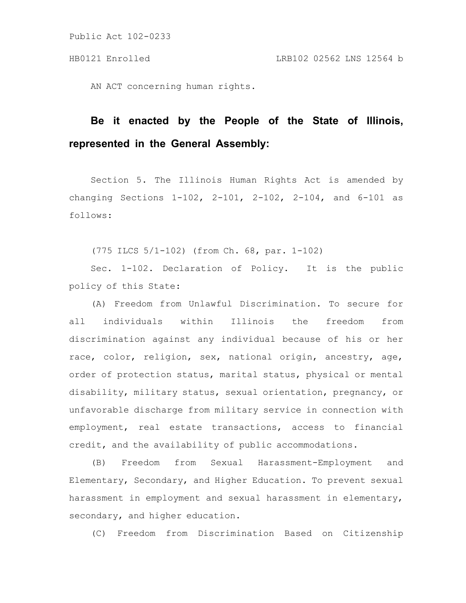AN ACT concerning human rights.

# **Be it enacted by the People of the State of Illinois, represented in the General Assembly:**

Section 5. The Illinois Human Rights Act is amended by changing Sections 1-102, 2-101, 2-102, 2-104, and 6-101 as follows:

(775 ILCS 5/1-102) (from Ch. 68, par. 1-102)

Sec. 1-102. Declaration of Policy. It is the public policy of this State:

(A) Freedom from Unlawful Discrimination. To secure for all individuals within Illinois the freedom from discrimination against any individual because of his or her race, color, religion, sex, national origin, ancestry, age, order of protection status, marital status, physical or mental disability, military status, sexual orientation, pregnancy, or unfavorable discharge from military service in connection with employment, real estate transactions, access to financial credit, and the availability of public accommodations.

(B) Freedom from Sexual Harassment-Employment and Elementary, Secondary, and Higher Education. To prevent sexual harassment in employment and sexual harassment in elementary, secondary, and higher education.

(C) Freedom from Discrimination Based on Citizenship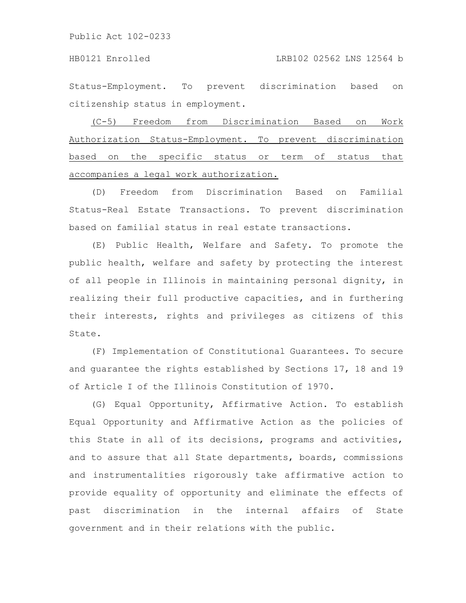Status-Employment. To prevent discrimination based on citizenship status in employment.

(C-5) Freedom from Discrimination Based on Work Authorization Status-Employment. To prevent discrimination based on the specific status or term of status that accompanies a legal work authorization.

(D) Freedom from Discrimination Based on Familial Status-Real Estate Transactions. To prevent discrimination based on familial status in real estate transactions.

(E) Public Health, Welfare and Safety. To promote the public health, welfare and safety by protecting the interest of all people in Illinois in maintaining personal dignity, in realizing their full productive capacities, and in furthering their interests, rights and privileges as citizens of this State.

(F) Implementation of Constitutional Guarantees. To secure and guarantee the rights established by Sections 17, 18 and 19 of Article I of the Illinois Constitution of 1970.

(G) Equal Opportunity, Affirmative Action. To establish Equal Opportunity and Affirmative Action as the policies of this State in all of its decisions, programs and activities, and to assure that all State departments, boards, commissions and instrumentalities rigorously take affirmative action to provide equality of opportunity and eliminate the effects of past discrimination in the internal affairs of State government and in their relations with the public.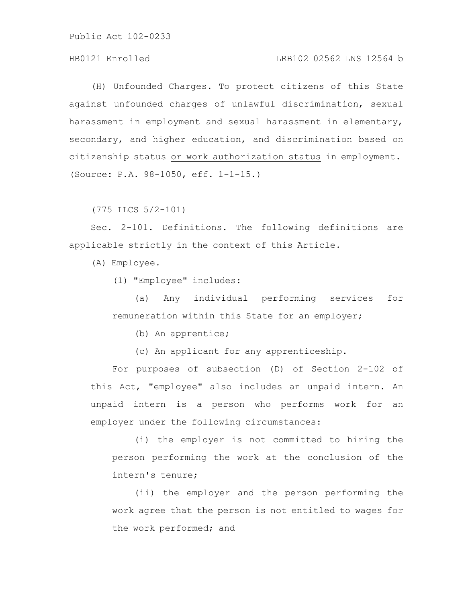# HB0121 Enrolled LRB102 02562 LNS 12564 b

(H) Unfounded Charges. To protect citizens of this State against unfounded charges of unlawful discrimination, sexual harassment in employment and sexual harassment in elementary, secondary, and higher education, and discrimination based on citizenship status or work authorization status in employment. (Source: P.A. 98-1050, eff. 1-1-15.)

(775 ILCS 5/2-101)

Sec. 2-101. Definitions. The following definitions are applicable strictly in the context of this Article.

(A) Employee.

(1) "Employee" includes:

(a) Any individual performing services for remuneration within this State for an employer;

(b) An apprentice;

(c) An applicant for any apprenticeship.

For purposes of subsection (D) of Section 2-102 of this Act, "employee" also includes an unpaid intern. An unpaid intern is a person who performs work for an employer under the following circumstances:

(i) the employer is not committed to hiring the person performing the work at the conclusion of the intern's tenure;

(ii) the employer and the person performing the work agree that the person is not entitled to wages for the work performed; and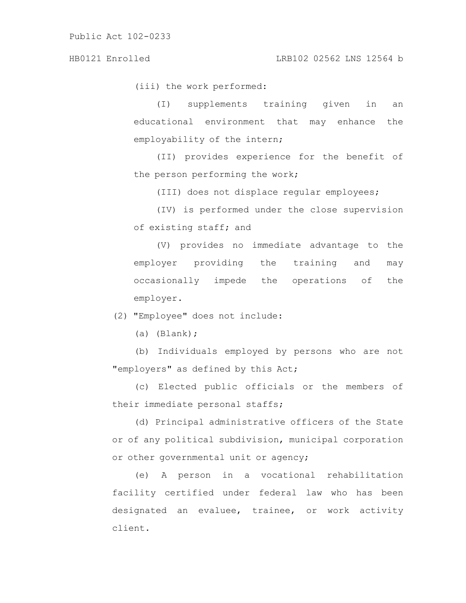(iii) the work performed:

(I) supplements training given in an educational environment that may enhance the employability of the intern;

(II) provides experience for the benefit of the person performing the work;

(III) does not displace regular employees;

(IV) is performed under the close supervision of existing staff; and

(V) provides no immediate advantage to the employer providing the training and may occasionally impede the operations of the employer.

(2) "Employee" does not include:

(a) (Blank);

(b) Individuals employed by persons who are not "employers" as defined by this Act;

(c) Elected public officials or the members of their immediate personal staffs;

(d) Principal administrative officers of the State or of any political subdivision, municipal corporation or other governmental unit or agency;

(e) A person in a vocational rehabilitation facility certified under federal law who has been designated an evaluee, trainee, or work activity client.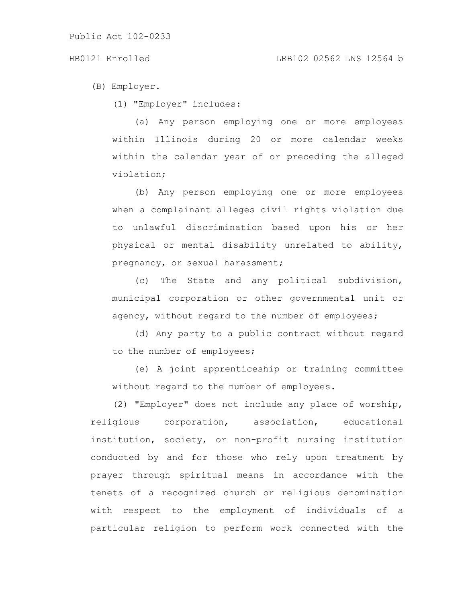# HB0121 Enrolled LRB102 02562 LNS 12564 b

(B) Employer.

(1) "Employer" includes:

(a) Any person employing one or more employees within Illinois during 20 or more calendar weeks within the calendar year of or preceding the alleged violation;

(b) Any person employing one or more employees when a complainant alleges civil rights violation due to unlawful discrimination based upon his or her physical or mental disability unrelated to ability, pregnancy, or sexual harassment;

(c) The State and any political subdivision, municipal corporation or other governmental unit or agency, without regard to the number of employees;

(d) Any party to a public contract without regard to the number of employees;

(e) A joint apprenticeship or training committee without regard to the number of employees.

(2) "Employer" does not include any place of worship, religious corporation, association, educational institution, society, or non-profit nursing institution conducted by and for those who rely upon treatment by prayer through spiritual means in accordance with the tenets of a recognized church or religious denomination with respect to the employment of individuals of a particular religion to perform work connected with the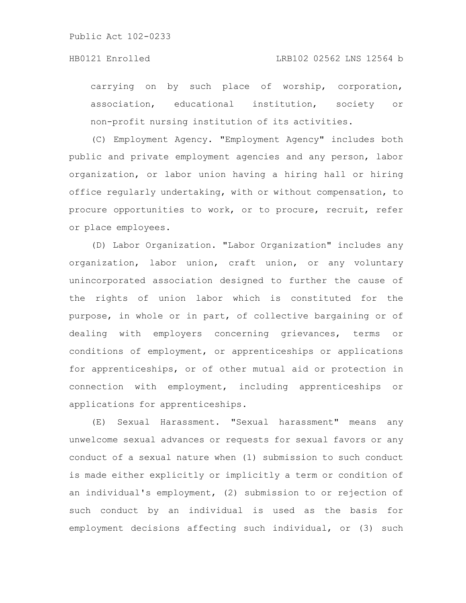carrying on by such place of worship, corporation, association, educational institution, society or non-profit nursing institution of its activities.

(C) Employment Agency. "Employment Agency" includes both public and private employment agencies and any person, labor organization, or labor union having a hiring hall or hiring office regularly undertaking, with or without compensation, to procure opportunities to work, or to procure, recruit, refer or place employees.

(D) Labor Organization. "Labor Organization" includes any organization, labor union, craft union, or any voluntary unincorporated association designed to further the cause of the rights of union labor which is constituted for the purpose, in whole or in part, of collective bargaining or of dealing with employers concerning grievances, terms or conditions of employment, or apprenticeships or applications for apprenticeships, or of other mutual aid or protection in connection with employment, including apprenticeships or applications for apprenticeships.

(E) Sexual Harassment. "Sexual harassment" means any unwelcome sexual advances or requests for sexual favors or any conduct of a sexual nature when (1) submission to such conduct is made either explicitly or implicitly a term or condition of an individual's employment, (2) submission to or rejection of such conduct by an individual is used as the basis for employment decisions affecting such individual, or (3) such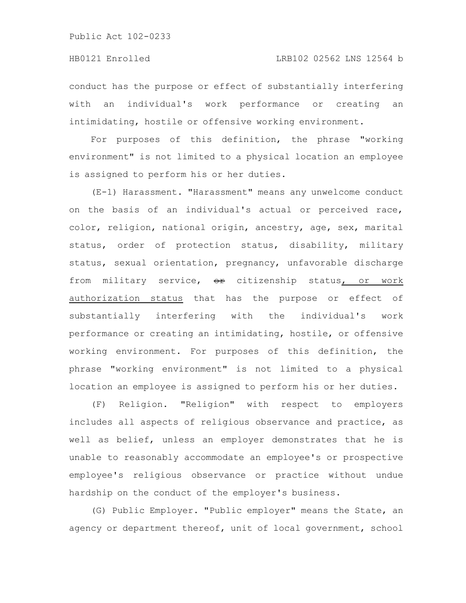conduct has the purpose or effect of substantially interfering with an individual's work performance or creating an intimidating, hostile or offensive working environment.

For purposes of this definition, the phrase "working environment" is not limited to a physical location an employee is assigned to perform his or her duties.

(E-1) Harassment. "Harassment" means any unwelcome conduct on the basis of an individual's actual or perceived race, color, religion, national origin, ancestry, age, sex, marital status, order of protection status, disability, military status, sexual orientation, pregnancy, unfavorable discharge from military service, or citizenship status, or work authorization status that has the purpose or effect of substantially interfering with the individual's work performance or creating an intimidating, hostile, or offensive working environment. For purposes of this definition, the phrase "working environment" is not limited to a physical location an employee is assigned to perform his or her duties.

(F) Religion. "Religion" with respect to employers includes all aspects of religious observance and practice, as well as belief, unless an employer demonstrates that he is unable to reasonably accommodate an employee's or prospective employee's religious observance or practice without undue hardship on the conduct of the employer's business.

(G) Public Employer. "Public employer" means the State, an agency or department thereof, unit of local government, school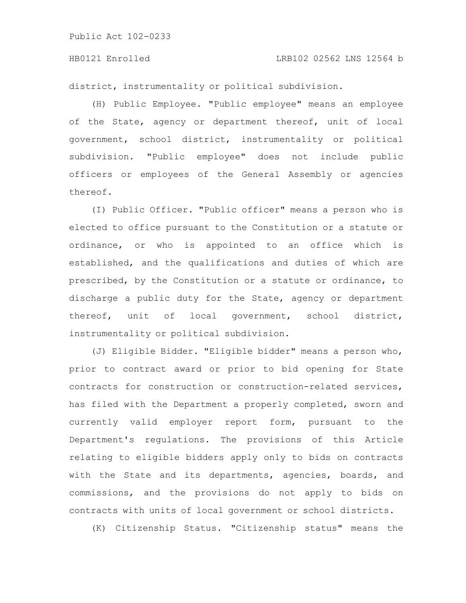### HB0121 Enrolled LRB102 02562 LNS 12564 b

district, instrumentality or political subdivision.

(H) Public Employee. "Public employee" means an employee of the State, agency or department thereof, unit of local government, school district, instrumentality or political subdivision. "Public employee" does not include public officers or employees of the General Assembly or agencies thereof.

(I) Public Officer. "Public officer" means a person who is elected to office pursuant to the Constitution or a statute or ordinance, or who is appointed to an office which is established, and the qualifications and duties of which are prescribed, by the Constitution or a statute or ordinance, to discharge a public duty for the State, agency or department thereof, unit of local government, school district, instrumentality or political subdivision.

(J) Eligible Bidder. "Eligible bidder" means a person who, prior to contract award or prior to bid opening for State contracts for construction or construction-related services, has filed with the Department a properly completed, sworn and currently valid employer report form, pursuant to the Department's regulations. The provisions of this Article relating to eligible bidders apply only to bids on contracts with the State and its departments, agencies, boards, and commissions, and the provisions do not apply to bids on contracts with units of local government or school districts.

(K) Citizenship Status. "Citizenship status" means the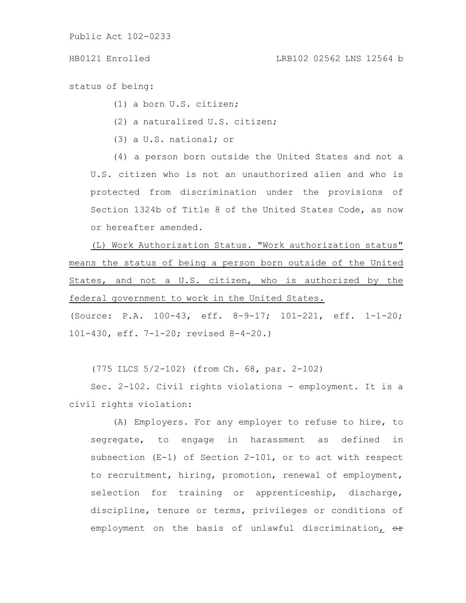status of being:

(1) a born U.S. citizen;

(2) a naturalized U.S. citizen;

(3) a U.S. national; or

(4) a person born outside the United States and not a U.S. citizen who is not an unauthorized alien and who is protected from discrimination under the provisions of Section 1324b of Title 8 of the United States Code, as now or hereafter amended.

(L) Work Authorization Status. "Work authorization status" means the status of being a person born outside of the United States, and not a U.S. citizen, who is authorized by the federal government to work in the United States.

(Source: P.A. 100-43, eff. 8-9-17; 101-221, eff. 1-1-20; 101-430, eff. 7-1-20; revised 8-4-20.)

(775 ILCS 5/2-102) (from Ch. 68, par. 2-102)

Sec. 2-102. Civil rights violations - employment. It is a civil rights violation:

(A) Employers. For any employer to refuse to hire, to segregate, to engage in harassment as defined in subsection (E-1) of Section 2-101, or to act with respect to recruitment, hiring, promotion, renewal of employment, selection for training or apprenticeship, discharge, discipline, tenure or terms, privileges or conditions of employment on the basis of unlawful discrimination, or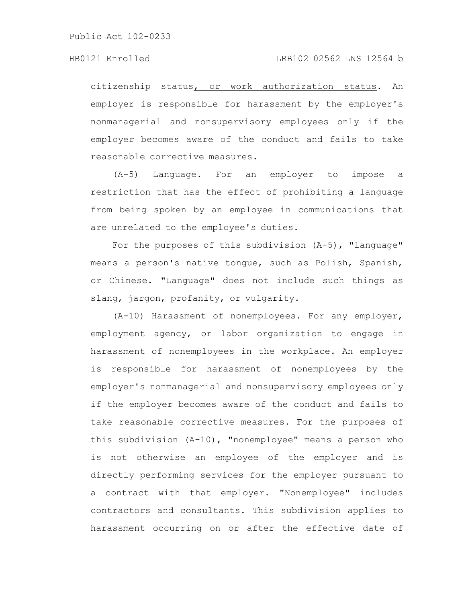### HB0121 Enrolled LRB102 02562 LNS 12564 b

citizenship status, or work authorization status. An employer is responsible for harassment by the employer's nonmanagerial and nonsupervisory employees only if the employer becomes aware of the conduct and fails to take reasonable corrective measures.

(A-5) Language. For an employer to impose a restriction that has the effect of prohibiting a language from being spoken by an employee in communications that are unrelated to the employee's duties.

For the purposes of this subdivision  $(A-5)$ , "language" means a person's native tongue, such as Polish, Spanish, or Chinese. "Language" does not include such things as slang, jargon, profanity, or vulgarity.

(A-10) Harassment of nonemployees. For any employer, employment agency, or labor organization to engage in harassment of nonemployees in the workplace. An employer is responsible for harassment of nonemployees by the employer's nonmanagerial and nonsupervisory employees only if the employer becomes aware of the conduct and fails to take reasonable corrective measures. For the purposes of this subdivision (A-10), "nonemployee" means a person who is not otherwise an employee of the employer and is directly performing services for the employer pursuant to a contract with that employer. "Nonemployee" includes contractors and consultants. This subdivision applies to harassment occurring on or after the effective date of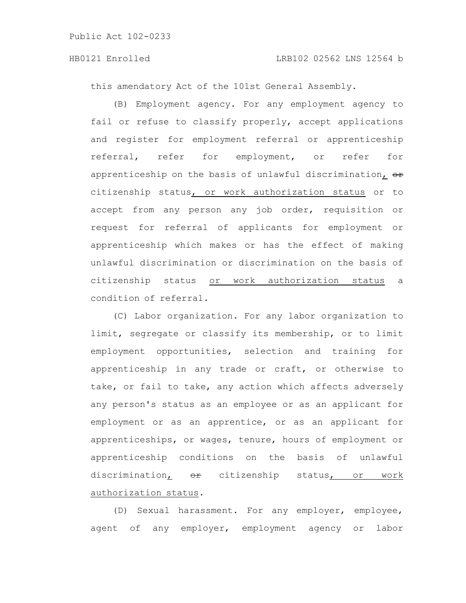this amendatory Act of the 101st General Assembly.

(B) Employment agency. For any employment agency to fail or refuse to classify properly, accept applications and register for employment referral or apprenticeship referral, refer for employment, or refer for apprenticeship on the basis of unlawful discrimination,  $\theta$ citizenship status, or work authorization status or to accept from any person any job order, requisition or request for referral of applicants for employment or apprenticeship which makes or has the effect of making unlawful discrimination or discrimination on the basis of citizenship status or work authorization status a condition of referral.

(C) Labor organization. For any labor organization to limit, segregate or classify its membership, or to limit employment opportunities, selection and training for apprenticeship in any trade or craft, or otherwise to take, or fail to take, any action which affects adversely any person's status as an employee or as an applicant for employment or as an apprentice, or as an applicant for apprenticeships, or wages, tenure, hours of employment or apprenticeship conditions on the basis of unlawful discrimination, <del>or</del> citizenship status, or work authorization status.

(D) Sexual harassment. For any employer, employee, agent of any employer, employment agency or labor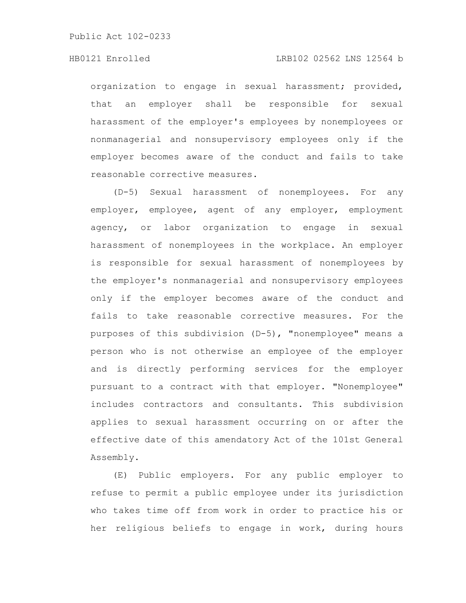# HB0121 Enrolled LRB102 02562 LNS 12564 b

organization to engage in sexual harassment; provided, that an employer shall be responsible for sexual harassment of the employer's employees by nonemployees or nonmanagerial and nonsupervisory employees only if the employer becomes aware of the conduct and fails to take reasonable corrective measures.

(D-5) Sexual harassment of nonemployees. For any employer, employee, agent of any employer, employment agency, or labor organization to engage in sexual harassment of nonemployees in the workplace. An employer is responsible for sexual harassment of nonemployees by the employer's nonmanagerial and nonsupervisory employees only if the employer becomes aware of the conduct and fails to take reasonable corrective measures. For the purposes of this subdivision (D-5), "nonemployee" means a person who is not otherwise an employee of the employer and is directly performing services for the employer pursuant to a contract with that employer. "Nonemployee" includes contractors and consultants. This subdivision applies to sexual harassment occurring on or after the effective date of this amendatory Act of the 101st General Assembly.

(E) Public employers. For any public employer to refuse to permit a public employee under its jurisdiction who takes time off from work in order to practice his or her religious beliefs to engage in work, during hours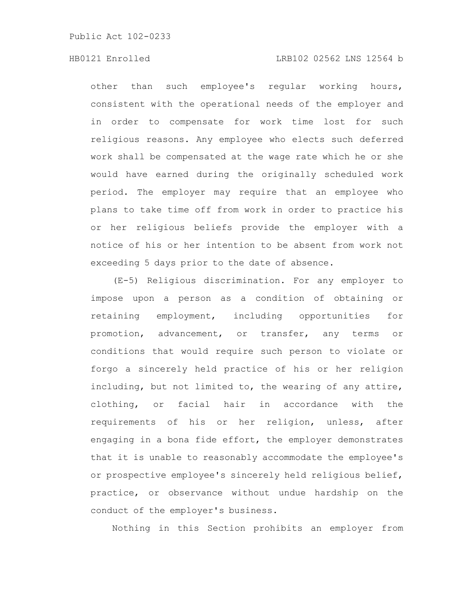# HB0121 Enrolled LRB102 02562 LNS 12564 b

other than such employee's regular working hours, consistent with the operational needs of the employer and in order to compensate for work time lost for such religious reasons. Any employee who elects such deferred work shall be compensated at the wage rate which he or she would have earned during the originally scheduled work period. The employer may require that an employee who plans to take time off from work in order to practice his or her religious beliefs provide the employer with a notice of his or her intention to be absent from work not exceeding 5 days prior to the date of absence.

(E-5) Religious discrimination. For any employer to impose upon a person as a condition of obtaining or retaining employment, including opportunities for promotion, advancement, or transfer, any terms or conditions that would require such person to violate or forgo a sincerely held practice of his or her religion including, but not limited to, the wearing of any attire, clothing, or facial hair in accordance with the requirements of his or her religion, unless, after engaging in a bona fide effort, the employer demonstrates that it is unable to reasonably accommodate the employee's or prospective employee's sincerely held religious belief, practice, or observance without undue hardship on the conduct of the employer's business.

Nothing in this Section prohibits an employer from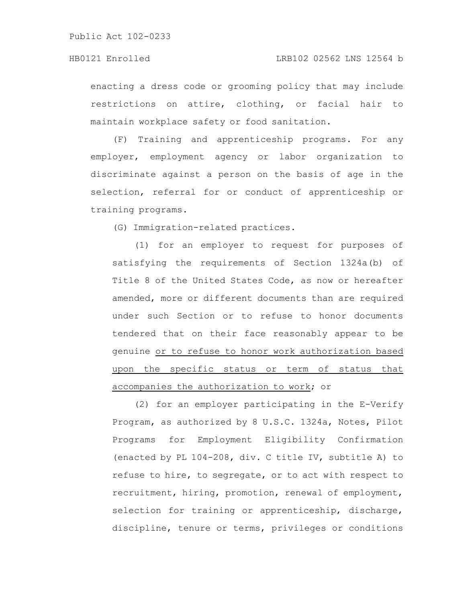enacting a dress code or grooming policy that may include restrictions on attire, clothing, or facial hair to maintain workplace safety or food sanitation.

(F) Training and apprenticeship programs. For any employer, employment agency or labor organization to discriminate against a person on the basis of age in the selection, referral for or conduct of apprenticeship or training programs.

(G) Immigration-related practices.

(1) for an employer to request for purposes of satisfying the requirements of Section 1324a(b) of Title 8 of the United States Code, as now or hereafter amended, more or different documents than are required under such Section or to refuse to honor documents tendered that on their face reasonably appear to be genuine or to refuse to honor work authorization based upon the specific status or term of status that accompanies the authorization to work; or

(2) for an employer participating in the E-Verify Program, as authorized by 8 U.S.C. 1324a, Notes, Pilot Programs for Employment Eligibility Confirmation (enacted by PL 104-208, div. C title IV, subtitle A) to refuse to hire, to segregate, or to act with respect to recruitment, hiring, promotion, renewal of employment, selection for training or apprenticeship, discharge, discipline, tenure or terms, privileges or conditions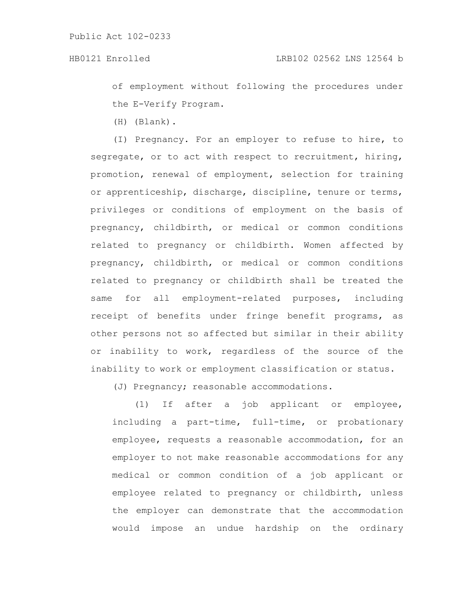of employment without following the procedures under the E-Verify Program.

(H) (Blank).

(I) Pregnancy. For an employer to refuse to hire, to segregate, or to act with respect to recruitment, hiring, promotion, renewal of employment, selection for training or apprenticeship, discharge, discipline, tenure or terms, privileges or conditions of employment on the basis of pregnancy, childbirth, or medical or common conditions related to pregnancy or childbirth. Women affected by pregnancy, childbirth, or medical or common conditions related to pregnancy or childbirth shall be treated the same for all employment-related purposes, including receipt of benefits under fringe benefit programs, as other persons not so affected but similar in their ability or inability to work, regardless of the source of the inability to work or employment classification or status.

(J) Pregnancy; reasonable accommodations.

(1) If after a job applicant or employee, including a part-time, full-time, or probationary employee, requests a reasonable accommodation, for an employer to not make reasonable accommodations for any medical or common condition of a job applicant or employee related to pregnancy or childbirth, unless the employer can demonstrate that the accommodation would impose an undue hardship on the ordinary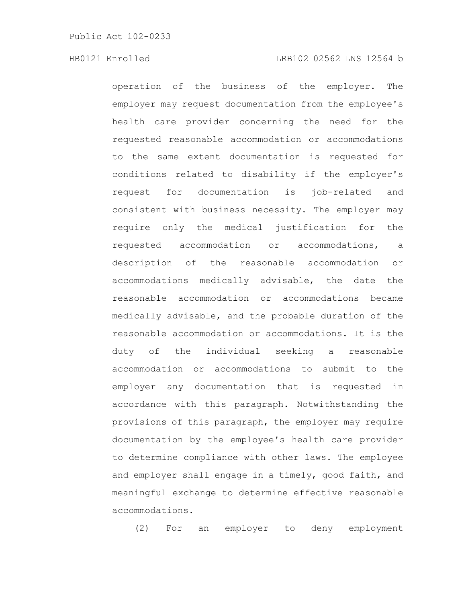### HB0121 Enrolled LRB102 02562 LNS 12564 b

operation of the business of the employer. The employer may request documentation from the employee's health care provider concerning the need for the requested reasonable accommodation or accommodations to the same extent documentation is requested for conditions related to disability if the employer's request for documentation is job-related and consistent with business necessity. The employer may require only the medical justification for the requested accommodation or accommodations, a description of the reasonable accommodation or accommodations medically advisable, the date the reasonable accommodation or accommodations became medically advisable, and the probable duration of the reasonable accommodation or accommodations. It is the duty of the individual seeking a reasonable accommodation or accommodations to submit to the employer any documentation that is requested in accordance with this paragraph. Notwithstanding the provisions of this paragraph, the employer may require documentation by the employee's health care provider to determine compliance with other laws. The employee and employer shall engage in a timely, good faith, and meaningful exchange to determine effective reasonable accommodations.

(2) For an employer to deny employment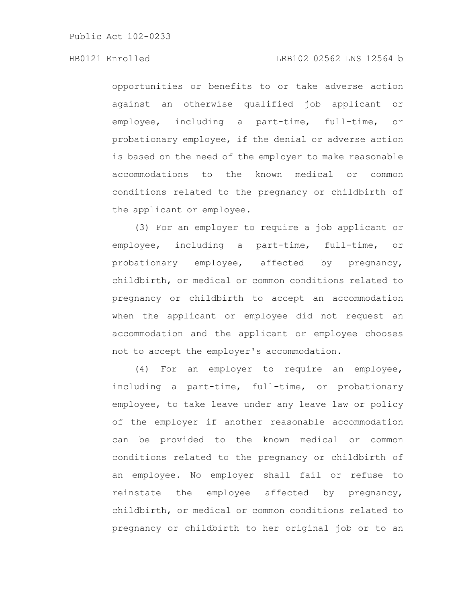opportunities or benefits to or take adverse action against an otherwise qualified job applicant or employee, including a part-time, full-time, or probationary employee, if the denial or adverse action is based on the need of the employer to make reasonable accommodations to the known medical or common conditions related to the pregnancy or childbirth of the applicant or employee.

(3) For an employer to require a job applicant or employee, including a part-time, full-time, or probationary employee, affected by pregnancy, childbirth, or medical or common conditions related to pregnancy or childbirth to accept an accommodation when the applicant or employee did not request an accommodation and the applicant or employee chooses not to accept the employer's accommodation.

(4) For an employer to require an employee, including a part-time, full-time, or probationary employee, to take leave under any leave law or policy of the employer if another reasonable accommodation can be provided to the known medical or common conditions related to the pregnancy or childbirth of an employee. No employer shall fail or refuse to reinstate the employee affected by pregnancy, childbirth, or medical or common conditions related to pregnancy or childbirth to her original job or to an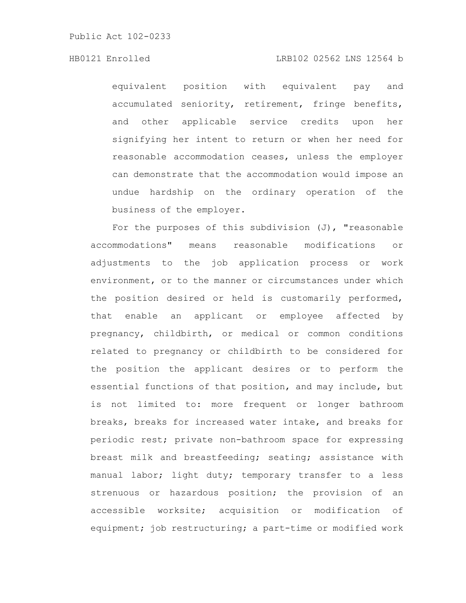# HB0121 Enrolled LRB102 02562 LNS 12564 b

equivalent position with equivalent pay and accumulated seniority, retirement, fringe benefits, and other applicable service credits upon her signifying her intent to return or when her need for reasonable accommodation ceases, unless the employer can demonstrate that the accommodation would impose an undue hardship on the ordinary operation of the business of the employer.

For the purposes of this subdivision  $(J)$ , "reasonable accommodations" means reasonable modifications or adjustments to the job application process or work environment, or to the manner or circumstances under which the position desired or held is customarily performed, that enable an applicant or employee affected by pregnancy, childbirth, or medical or common conditions related to pregnancy or childbirth to be considered for the position the applicant desires or to perform the essential functions of that position, and may include, but is not limited to: more frequent or longer bathroom breaks, breaks for increased water intake, and breaks for periodic rest; private non-bathroom space for expressing breast milk and breastfeeding; seating; assistance with manual labor; light duty; temporary transfer to a less strenuous or hazardous position; the provision of an accessible worksite; acquisition or modification of equipment; job restructuring; a part-time or modified work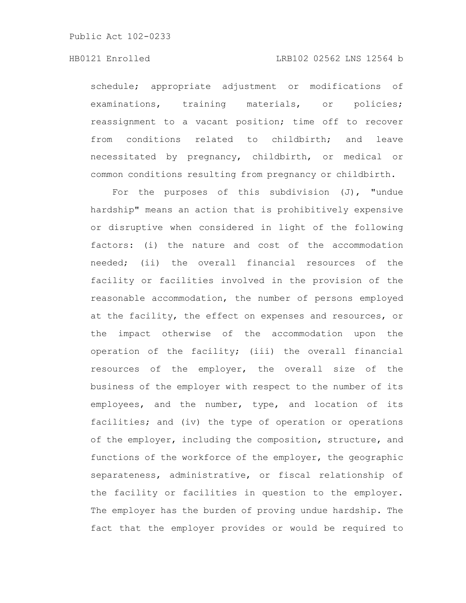### HB0121 Enrolled LRB102 02562 LNS 12564 b

schedule; appropriate adjustment or modifications of examinations, training materials, or policies; reassignment to a vacant position; time off to recover from conditions related to childbirth; and leave necessitated by pregnancy, childbirth, or medical or common conditions resulting from pregnancy or childbirth.

For the purposes of this subdivision (J), "undue hardship" means an action that is prohibitively expensive or disruptive when considered in light of the following factors: (i) the nature and cost of the accommodation needed; (ii) the overall financial resources of the facility or facilities involved in the provision of the reasonable accommodation, the number of persons employed at the facility, the effect on expenses and resources, or the impact otherwise of the accommodation upon the operation of the facility; (iii) the overall financial resources of the employer, the overall size of the business of the employer with respect to the number of its employees, and the number, type, and location of its facilities; and (iv) the type of operation or operations of the employer, including the composition, structure, and functions of the workforce of the employer, the geographic separateness, administrative, or fiscal relationship of the facility or facilities in question to the employer. The employer has the burden of proving undue hardship. The fact that the employer provides or would be required to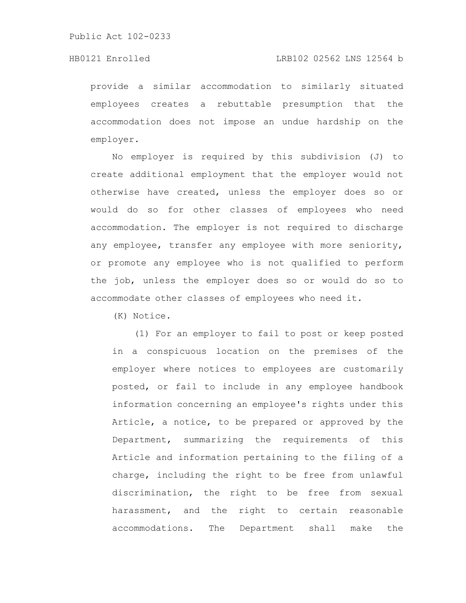# HB0121 Enrolled LRB102 02562 LNS 12564 b

provide a similar accommodation to similarly situated employees creates a rebuttable presumption that the accommodation does not impose an undue hardship on the employer.

No employer is required by this subdivision (J) to create additional employment that the employer would not otherwise have created, unless the employer does so or would do so for other classes of employees who need accommodation. The employer is not required to discharge any employee, transfer any employee with more seniority, or promote any employee who is not qualified to perform the job, unless the employer does so or would do so to accommodate other classes of employees who need it.

(K) Notice.

(1) For an employer to fail to post or keep posted in a conspicuous location on the premises of the employer where notices to employees are customarily posted, or fail to include in any employee handbook information concerning an employee's rights under this Article, a notice, to be prepared or approved by the Department, summarizing the requirements of this Article and information pertaining to the filing of a charge, including the right to be free from unlawful discrimination, the right to be free from sexual harassment, and the right to certain reasonable accommodations. The Department shall make the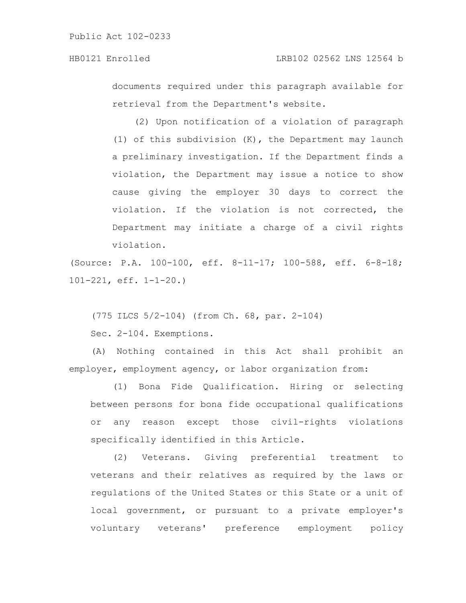documents required under this paragraph available for retrieval from the Department's website.

(2) Upon notification of a violation of paragraph (1) of this subdivision (K), the Department may launch a preliminary investigation. If the Department finds a violation, the Department may issue a notice to show cause giving the employer 30 days to correct the violation. If the violation is not corrected, the Department may initiate a charge of a civil rights violation.

(Source: P.A. 100-100, eff. 8-11-17; 100-588, eff. 6-8-18; 101-221, eff. 1-1-20.)

(775 ILCS 5/2-104) (from Ch. 68, par. 2-104)

Sec. 2-104. Exemptions.

(A) Nothing contained in this Act shall prohibit an employer, employment agency, or labor organization from:

(1) Bona Fide Qualification. Hiring or selecting between persons for bona fide occupational qualifications or any reason except those civil-rights violations specifically identified in this Article.

(2) Veterans. Giving preferential treatment to veterans and their relatives as required by the laws or regulations of the United States or this State or a unit of local government, or pursuant to a private employer's voluntary veterans' preference employment policy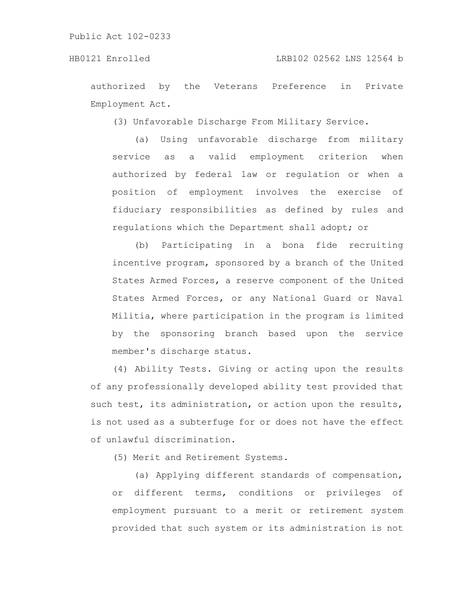authorized by the Veterans Preference in Private Employment Act.

(3) Unfavorable Discharge From Military Service.

(a) Using unfavorable discharge from military service as a valid employment criterion when authorized by federal law or regulation or when a position of employment involves the exercise of fiduciary responsibilities as defined by rules and regulations which the Department shall adopt; or

(b) Participating in a bona fide recruiting incentive program, sponsored by a branch of the United States Armed Forces, a reserve component of the United States Armed Forces, or any National Guard or Naval Militia, where participation in the program is limited by the sponsoring branch based upon the service member's discharge status.

(4) Ability Tests. Giving or acting upon the results of any professionally developed ability test provided that such test, its administration, or action upon the results, is not used as a subterfuge for or does not have the effect of unlawful discrimination.

(5) Merit and Retirement Systems.

(a) Applying different standards of compensation, or different terms, conditions or privileges of employment pursuant to a merit or retirement system provided that such system or its administration is not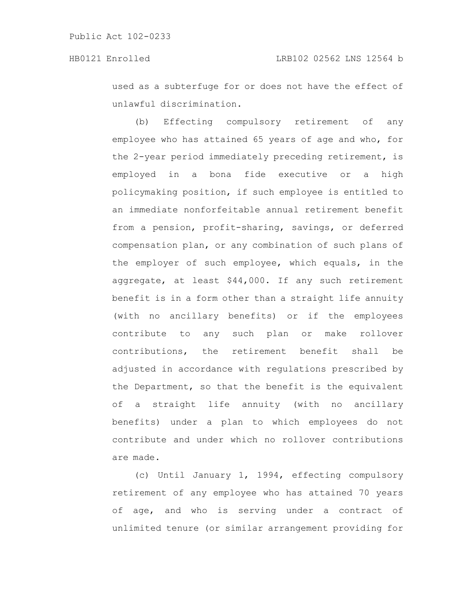used as a subterfuge for or does not have the effect of unlawful discrimination.

(b) Effecting compulsory retirement of any employee who has attained 65 years of age and who, for the 2-year period immediately preceding retirement, is employed in a bona fide executive or a high policymaking position, if such employee is entitled to an immediate nonforfeitable annual retirement benefit from a pension, profit-sharing, savings, or deferred compensation plan, or any combination of such plans of the employer of such employee, which equals, in the aggregate, at least \$44,000. If any such retirement benefit is in a form other than a straight life annuity (with no ancillary benefits) or if the employees contribute to any such plan or make rollover contributions, the retirement benefit shall be adjusted in accordance with regulations prescribed by the Department, so that the benefit is the equivalent of a straight life annuity (with no ancillary benefits) under a plan to which employees do not contribute and under which no rollover contributions are made.

(c) Until January 1, 1994, effecting compulsory retirement of any employee who has attained 70 years of age, and who is serving under a contract of unlimited tenure (or similar arrangement providing for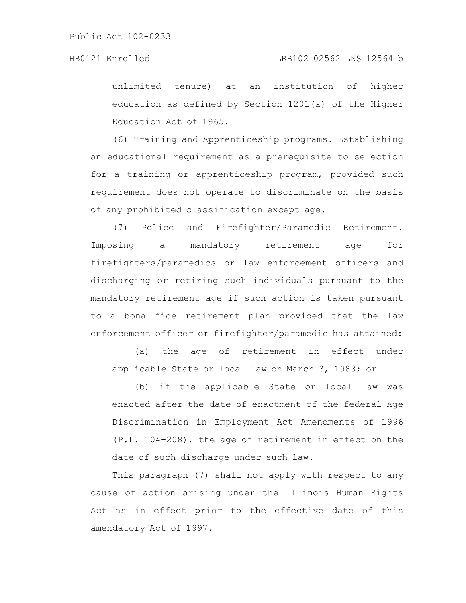# HB0121 Enrolled LRB102 02562 LNS 12564 b

unlimited tenure) at an institution of higher education as defined by Section 1201(a) of the Higher Education Act of 1965.

(6) Training and Apprenticeship programs. Establishing an educational requirement as a prerequisite to selection for a training or apprenticeship program, provided such requirement does not operate to discriminate on the basis of any prohibited classification except age.

(7) Police and Firefighter/Paramedic Retirement. Imposing a mandatory retirement age for firefighters/paramedics or law enforcement officers and discharging or retiring such individuals pursuant to the mandatory retirement age if such action is taken pursuant to a bona fide retirement plan provided that the law enforcement officer or firefighter/paramedic has attained:

(a) the age of retirement in effect under applicable State or local law on March 3, 1983; or

(b) if the applicable State or local law was enacted after the date of enactment of the federal Age Discrimination in Employment Act Amendments of 1996 (P.L. 104-208), the age of retirement in effect on the date of such discharge under such law.

This paragraph (7) shall not apply with respect to any cause of action arising under the Illinois Human Rights Act as in effect prior to the effective date of this amendatory Act of 1997.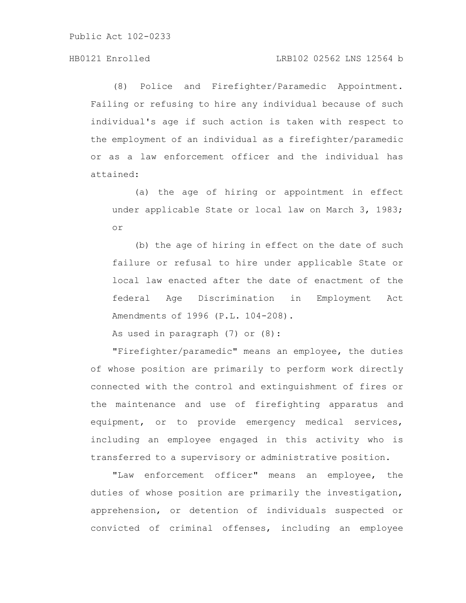# HB0121 Enrolled LRB102 02562 LNS 12564 b

(8) Police and Firefighter/Paramedic Appointment. Failing or refusing to hire any individual because of such individual's age if such action is taken with respect to the employment of an individual as a firefighter/paramedic or as a law enforcement officer and the individual has attained:

(a) the age of hiring or appointment in effect under applicable State or local law on March 3, 1983; or

(b) the age of hiring in effect on the date of such failure or refusal to hire under applicable State or local law enacted after the date of enactment of the federal Age Discrimination in Employment Act Amendments of 1996 (P.L. 104-208).

As used in paragraph (7) or (8):

"Firefighter/paramedic" means an employee, the duties of whose position are primarily to perform work directly connected with the control and extinguishment of fires or the maintenance and use of firefighting apparatus and equipment, or to provide emergency medical services, including an employee engaged in this activity who is transferred to a supervisory or administrative position.

"Law enforcement officer" means an employee, the duties of whose position are primarily the investigation, apprehension, or detention of individuals suspected or convicted of criminal offenses, including an employee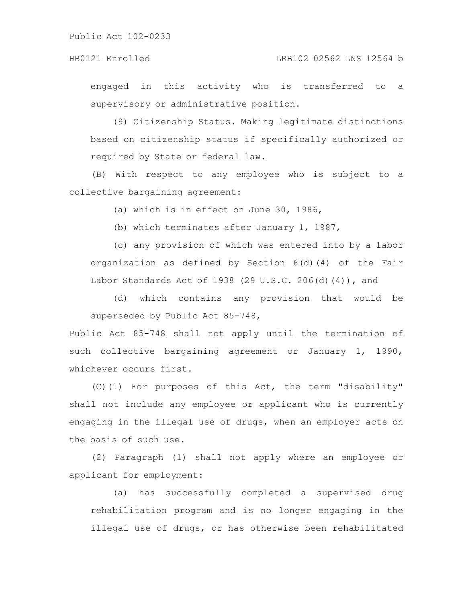### HB0121 Enrolled LRB102 02562 LNS 12564 b

engaged in this activity who is transferred to a supervisory or administrative position.

(9) Citizenship Status. Making legitimate distinctions based on citizenship status if specifically authorized or required by State or federal law.

(B) With respect to any employee who is subject to a collective bargaining agreement:

(a) which is in effect on June 30, 1986,

(b) which terminates after January 1, 1987,

(c) any provision of which was entered into by a labor organization as defined by Section 6(d)(4) of the Fair Labor Standards Act of 1938 (29 U.S.C. 206(d)(4)), and

(d) which contains any provision that would be superseded by Public Act 85-748,

Public Act 85-748 shall not apply until the termination of such collective bargaining agreement or January 1, 1990, whichever occurs first.

(C)(1) For purposes of this Act, the term "disability" shall not include any employee or applicant who is currently engaging in the illegal use of drugs, when an employer acts on the basis of such use.

(2) Paragraph (1) shall not apply where an employee or applicant for employment:

(a) has successfully completed a supervised drug rehabilitation program and is no longer engaging in the illegal use of drugs, or has otherwise been rehabilitated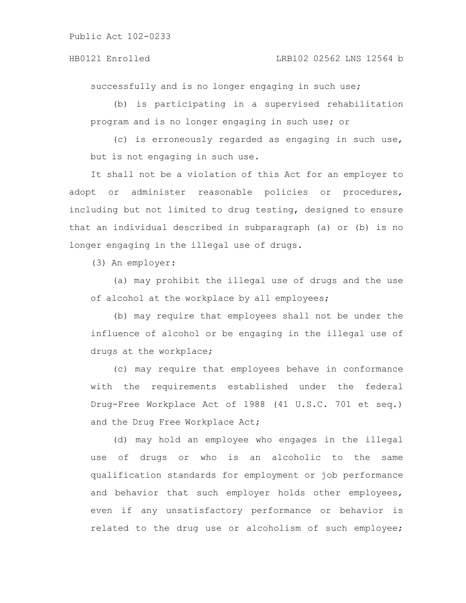### HB0121 Enrolled LRB102 02562 LNS 12564 b

successfully and is no longer engaging in such use;

(b) is participating in a supervised rehabilitation program and is no longer engaging in such use; or

(c) is erroneously regarded as engaging in such use, but is not engaging in such use.

It shall not be a violation of this Act for an employer to adopt or administer reasonable policies or procedures, including but not limited to drug testing, designed to ensure that an individual described in subparagraph (a) or (b) is no longer engaging in the illegal use of drugs.

(3) An employer:

(a) may prohibit the illegal use of drugs and the use of alcohol at the workplace by all employees;

(b) may require that employees shall not be under the influence of alcohol or be engaging in the illegal use of drugs at the workplace;

(c) may require that employees behave in conformance with the requirements established under the federal Drug-Free Workplace Act of 1988 (41 U.S.C. 701 et seq.) and the Drug Free Workplace Act;

(d) may hold an employee who engages in the illegal use of drugs or who is an alcoholic to the same qualification standards for employment or job performance and behavior that such employer holds other employees, even if any unsatisfactory performance or behavior is related to the drug use or alcoholism of such employee;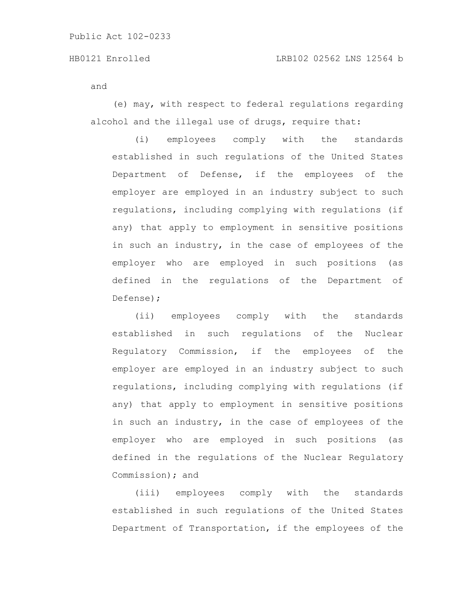and

(e) may, with respect to federal regulations regarding alcohol and the illegal use of drugs, require that:

(i) employees comply with the standards established in such regulations of the United States Department of Defense, if the employees of the employer are employed in an industry subject to such regulations, including complying with regulations (if any) that apply to employment in sensitive positions in such an industry, in the case of employees of the employer who are employed in such positions (as defined in the regulations of the Department of Defense);

(ii) employees comply with the standards established in such regulations of the Nuclear Regulatory Commission, if the employees of the employer are employed in an industry subject to such regulations, including complying with regulations (if any) that apply to employment in sensitive positions in such an industry, in the case of employees of the employer who are employed in such positions (as defined in the regulations of the Nuclear Regulatory Commission); and

(iii) employees comply with the standards established in such regulations of the United States Department of Transportation, if the employees of the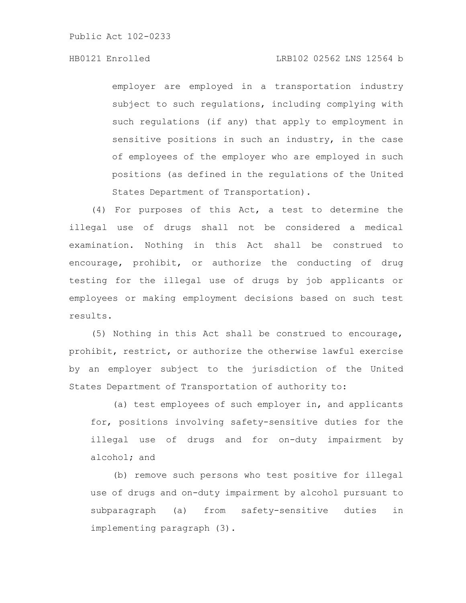# HB0121 Enrolled LRB102 02562 LNS 12564 b

employer are employed in a transportation industry subject to such regulations, including complying with such regulations (if any) that apply to employment in sensitive positions in such an industry, in the case of employees of the employer who are employed in such positions (as defined in the regulations of the United States Department of Transportation).

(4) For purposes of this Act, a test to determine the illegal use of drugs shall not be considered a medical examination. Nothing in this Act shall be construed to encourage, prohibit, or authorize the conducting of drug testing for the illegal use of drugs by job applicants or employees or making employment decisions based on such test results.

(5) Nothing in this Act shall be construed to encourage, prohibit, restrict, or authorize the otherwise lawful exercise by an employer subject to the jurisdiction of the United States Department of Transportation of authority to:

(a) test employees of such employer in, and applicants for, positions involving safety-sensitive duties for the illegal use of drugs and for on-duty impairment by alcohol; and

(b) remove such persons who test positive for illegal use of drugs and on-duty impairment by alcohol pursuant to subparagraph (a) from safety-sensitive duties in implementing paragraph (3).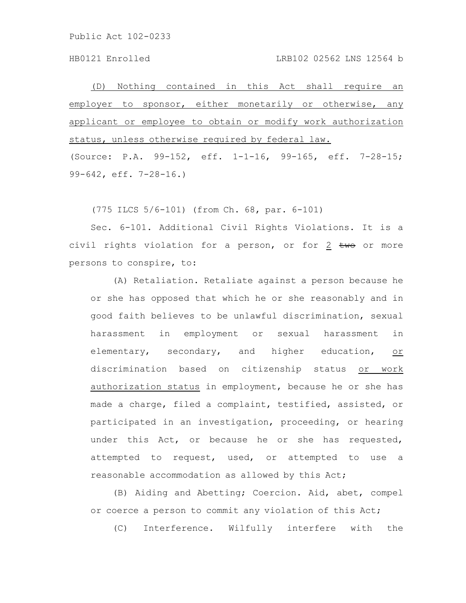(D) Nothing contained in this Act shall require an employer to sponsor, either monetarily or otherwise, any applicant or employee to obtain or modify work authorization status, unless otherwise required by federal law. (Source: P.A. 99-152, eff. 1-1-16, 99-165, eff. 7-28-15;

99-642, eff. 7-28-16.)

(775 ILCS 5/6-101) (from Ch. 68, par. 6-101)

Sec. 6-101. Additional Civil Rights Violations. It is a civil rights violation for a person, or for  $2$  two or more persons to conspire, to:

(A) Retaliation. Retaliate against a person because he or she has opposed that which he or she reasonably and in good faith believes to be unlawful discrimination, sexual harassment in employment or sexual harassment in elementary, secondary, and higher education, or discrimination based on citizenship status or work authorization status in employment, because he or she has made a charge, filed a complaint, testified, assisted, or participated in an investigation, proceeding, or hearing under this Act, or because he or she has requested, attempted to request, used, or attempted to use a reasonable accommodation as allowed by this Act;

(B) Aiding and Abetting; Coercion. Aid, abet, compel or coerce a person to commit any violation of this Act;

(C) Interference. Wilfully interfere with the